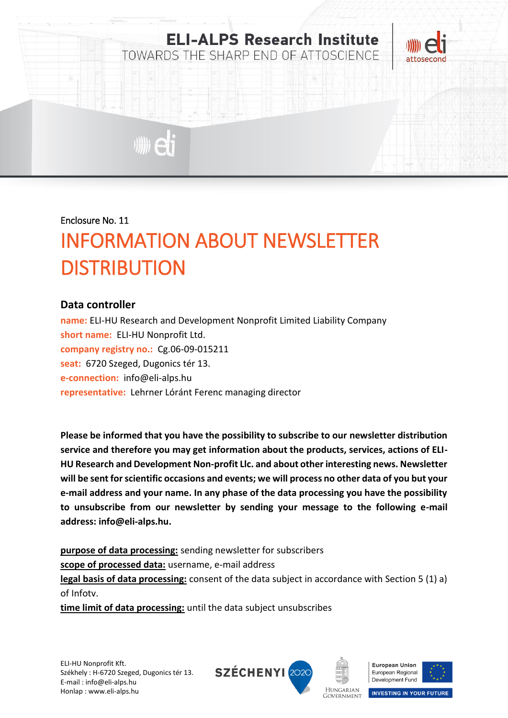

#### Enclosure No. 11

# INFORMATION ABOUT NEWSLETTER **DISTRIBUTION**

### **Data controller**

**name:** ELI-HU Research and Development Nonprofit Limited Liability Company **short name:** ELI-HU Nonprofit Ltd. **company registry no.:** Cg.06-09-015211 **seat:** 6720 Szeged, Dugonics tér 13. **e-connection:** info@eli-alps.hu **representative:** Lehrner Lóránt Ferenc managing director

**Please be informed that you have the possibility to subscribe to our newsletter distribution service and therefore you may get information about the products, services, actions of ELI-HU Research and Development Non-profit Llc. and about other interesting news. Newsletter will be sent for scientific occasions and events; we will process no other data of you but your e-mail address and your name. In any phase of the data processing you have the possibility to unsubscribe from our newsletter by sending your message to the following e-mail address: info@eli-alps.hu.**

**purpose of data processing:** sending newsletter for subscribers **scope of processed data:** username, e-mail address **legal basis of data processing:** consent of the data subject in accordance with Section 5 (1) a) of Infotv.

**time limit of data processing:** until the data subject unsubscribes







**INVESTING IN YOUR FUTURE** 

**HUNGARIAN GOVERNMENT**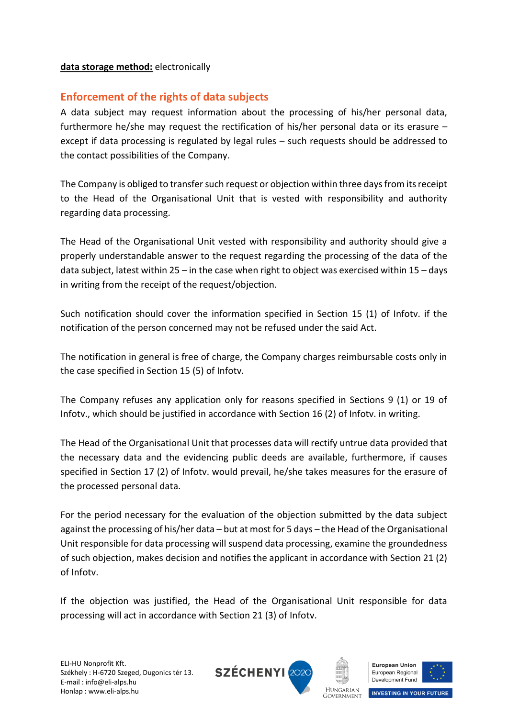#### **data storage method:** electronically

## **Enforcement of the rights of data subjects**

A data subject may request information about the processing of his/her personal data, furthermore he/she may request the rectification of his/her personal data or its erasure – except if data processing is regulated by legal rules – such requests should be addressed to the contact possibilities of the Company.

The Company is obliged to transfer such request or objection within three days from its receipt to the Head of the Organisational Unit that is vested with responsibility and authority regarding data processing.

The Head of the Organisational Unit vested with responsibility and authority should give a properly understandable answer to the request regarding the processing of the data of the data subject, latest within 25 – in the case when right to object was exercised within 15 – days in writing from the receipt of the request/objection.

Such notification should cover the information specified in Section 15 (1) of Infotv. if the notification of the person concerned may not be refused under the said Act.

The notification in general is free of charge, the Company charges reimbursable costs only in the case specified in Section 15 (5) of Infotv.

The Company refuses any application only for reasons specified in Sections 9 (1) or 19 of Infotv., which should be justified in accordance with Section 16 (2) of Infotv. in writing.

The Head of the Organisational Unit that processes data will rectify untrue data provided that the necessary data and the evidencing public deeds are available, furthermore, if causes specified in Section 17 (2) of Infotv. would prevail, he/she takes measures for the erasure of the processed personal data.

For the period necessary for the evaluation of the objection submitted by the data subject against the processing of his/her data – but at most for 5 days – the Head of the Organisational Unit responsible for data processing will suspend data processing, examine the groundedness of such objection, makes decision and notifies the applicant in accordance with Section 21 (2) of Infotv.

If the objection was justified, the Head of the Organisational Unit responsible for data processing will act in accordance with Section 21 (3) of Infotv.







**INVESTING IN YOUR FUTURE** 

**HUNGARIAN GOVERNMENT**